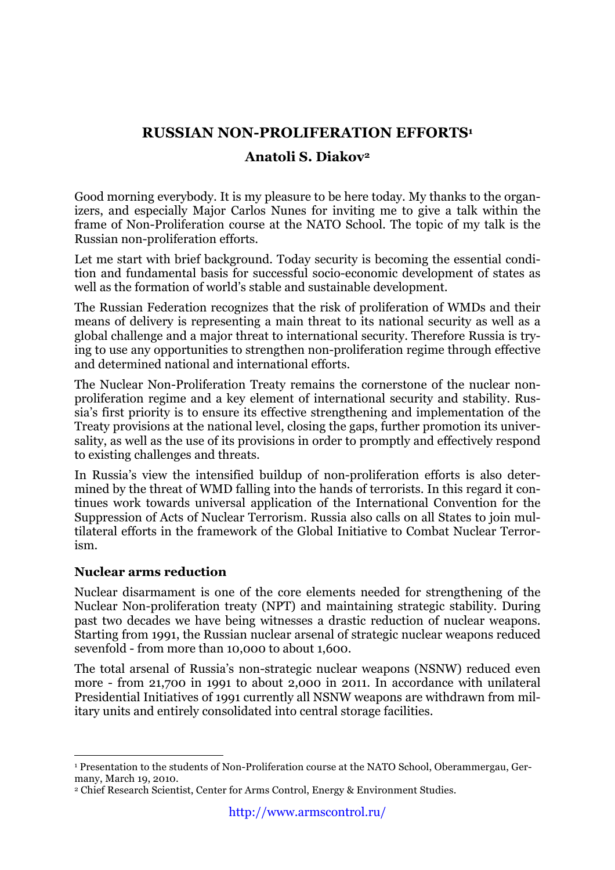# **RUSSIAN NON-PROLIFERATION EFFORTS1**

### **Anatoli S. Diakov2**

Good morning everybody. It is my pleasure to be here today. My thanks to the organizers, and especially Major Carlos Nunes for inviting me to give a talk within the frame of Non-Proliferation course at the NATO School. The topic of my talk is the Russian non-proliferation efforts.

Let me start with brief background. Today security is becoming the essential condition and fundamental basis for successful socio-economic development of states as well as the formation of world's stable and sustainable development.

The Russian Federation recognizes that the risk of proliferation of WMDs and their means of delivery is representing a main threat to its national security as well as a global challenge and a major threat to international security. Therefore Russia is trying to use any opportunities to strengthen non-proliferation regime through effective and determined national and international efforts.

The Nuclear Non-Proliferation Treaty remains the cornerstone of the nuclear nonproliferation regime and a key element of international security and stability. Russia's first priority is to ensure its effective strengthening and implementation of the Treaty provisions at the national level, closing the gaps, further promotion its universality, as well as the use of its provisions in order to promptly and effectively respond to existing challenges and threats.

In Russia's view the intensified buildup of non-proliferation efforts is also determined by the threat of WMD falling into the hands of terrorists. In this regard it continues work towards universal application of the International Convention for the Suppression of Acts of Nuclear Terrorism. Russia also calls on all States to join multilateral efforts in the framework of the Global Initiative to Combat Nuclear Terrorism.

### **Nuclear arms reduction**

 $\overline{a}$ 

Nuclear disarmament is one of the core elements needed for strengthening of the Nuclear Non-proliferation treaty (NPT) and maintaining strategic stability. During past two decades we have being witnesses a drastic reduction of nuclear weapons. Starting from 1991, the Russian nuclear arsenal of strategic nuclear weapons reduced sevenfold - from more than 10,000 to about 1,600.

The total arsenal of Russia's non-strategic nuclear weapons (NSNW) reduced even more - from 21,700 in 1991 to about 2,000 in 2011. In accordance with unilateral Presidential Initiatives of 1991 currently all NSNW weapons are withdrawn from military units and entirely consolidated into central storage facilities.

<sup>1</sup> Presentation to the students of Non-Proliferation course at the NATO School, Oberammergau, Germany, March 19, 2010.

<sup>2</sup> Chief Research Scientist, Center for Arms Control, Energy & Environment Studies.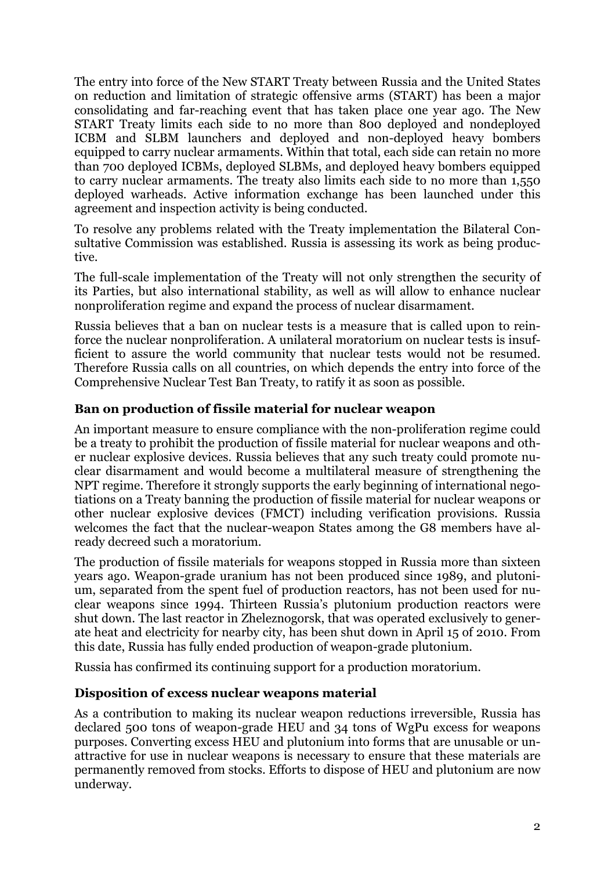The entry into force of the New START Treaty between Russia and the United States on reduction and limitation of strategic offensive arms (START) has been a major consolidating and far-reaching event that has taken place one year ago. The New START Treaty limits each side to no more than 800 deployed and nondeployed ICBM and SLBM launchers and deployed and non-deployed heavy bombers equipped to carry nuclear armaments. Within that total, each side can retain no more than 700 deployed ICBMs, deployed SLBMs, and deployed heavy bombers equipped to carry nuclear armaments. The treaty also limits each side to no more than 1,550 deployed warheads. Active information exchange has been launched under this agreement and inspection activity is being conducted.

To resolve any problems related with the Treaty implementation the Bilateral Consultative Commission was established. Russia is assessing its work as being productive.

The full-scale implementation of the Treaty will not only strengthen the security of its Parties, but also international stability, as well as will allow to enhance nuclear nonproliferation regime and expand the process of nuclear disarmament.

Russia believes that a ban on nuclear tests is a measure that is called upon to reinforce the nuclear nonproliferation. A unilateral moratorium on nuclear tests is insufficient to assure the world community that nuclear tests would not be resumed. Therefore Russia calls on all countries, on which depends the entry into force of the Comprehensive Nuclear Test Ban Treaty, to ratify it as soon as possible.

### **Ban on production of fissile material for nuclear weapon**

An important measure to ensure compliance with the non-proliferation regime could be a treaty to prohibit the production of fissile material for nuclear weapons and other nuclear explosive devices. Russia believes that any such treaty could promote nuclear disarmament and would become a multilateral measure of strengthening the NPT regime. Therefore it strongly supports the early beginning of international negotiations on a Treaty banning the production of fissile material for nuclear weapons or other nuclear explosive devices (FMCT) including verification provisions. Russia welcomes the fact that the nuclear-weapon States among the G8 members have already decreed such a moratorium.

The production of fissile materials for weapons stopped in Russia more than sixteen years ago. Weapon-grade uranium has not been produced since 1989, and plutonium, separated from the spent fuel of production reactors, has not been used for nuclear weapons since 1994. Thirteen Russia's plutonium production reactors were shut down. The last reactor in Zheleznogorsk, that was operated exclusively to generate heat and electricity for nearby city, has been shut down in April 15 of 2010. From this date, Russia has fully ended production of weapon-grade plutonium.

Russia has confirmed its continuing support for a production moratorium.

#### **Disposition of excess nuclear weapons material**

As a contribution to making its nuclear weapon reductions irreversible, Russia has declared 500 tons of weapon-grade HEU and 34 tons of WgPu excess for weapons purposes. Converting excess HEU and plutonium into forms that are unusable or unattractive for use in nuclear weapons is necessary to ensure that these materials are permanently removed from stocks. Efforts to dispose of HEU and plutonium are now underway.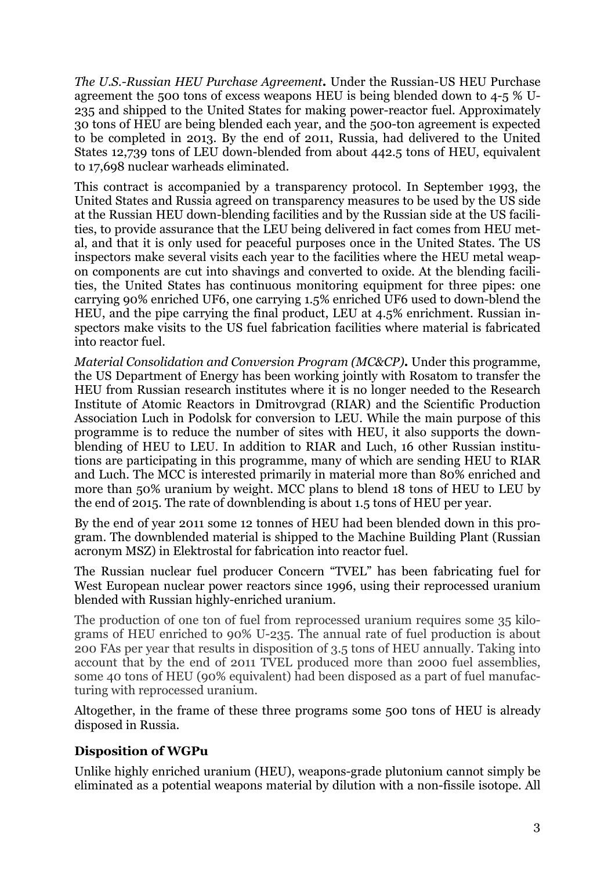*The U.S.-Russian HEU Purchase Agreement.* Under the Russian-US HEU Purchase agreement the 500 tons of excess weapons HEU is being blended down to 4-5 % U-235 and shipped to the United States for making power-reactor fuel. Approximately 30 tons of HEU are being blended each year, and the 500-ton agreement is expected to be completed in 2013. By the end of 2011, Russia, had delivered to the United States 12,739 tons of LEU down-blended from about 442.5 tons of HEU, equivalent to 17,698 nuclear warheads eliminated.

This contract is accompanied by a transparency protocol. In September 1993, the United States and Russia agreed on transparency measures to be used by the US side at the Russian HEU down-blending facilities and by the Russian side at the US facilities, to provide assurance that the LEU being delivered in fact comes from HEU metal, and that it is only used for peaceful purposes once in the United States. The US inspectors make several visits each year to the facilities where the HEU metal weapon components are cut into shavings and converted to oxide. At the blending facilities, the United States has continuous monitoring equipment for three pipes: one carrying 90% enriched UF6, one carrying 1.5% enriched UF6 used to down-blend the HEU, and the pipe carrying the final product, LEU at 4.5% enrichment. Russian inspectors make visits to the US fuel fabrication facilities where material is fabricated into reactor fuel.

*Material Consolidation and Conversion Program (MC&CP).* Under this programme, the US Department of Energy has been working jointly with Rosatom to transfer the HEU from Russian research institutes where it is no longer needed to the Research Institute of Atomic Reactors in Dmitrovgrad (RIAR) and the Scientific Production Association Luch in Podolsk for conversion to LEU. While the main purpose of this programme is to reduce the number of sites with HEU, it also supports the downblending of HEU to LEU. In addition to RIAR and Luch, 16 other Russian institutions are participating in this programme, many of which are sending HEU to RIAR and Luch. The MCC is interested primarily in material more than 80% enriched and more than 50% uranium by weight. MCC plans to blend 18 tons of HEU to LEU by the end of 2015. The rate of downblending is about 1.5 tons of HEU per year.

By the end of year 2011 some 12 tonnes of HEU had been blended down in this program. The downblended material is shipped to the Machine Building Plant (Russian acronym MSZ) in Elektrostal for fabrication into reactor fuel.

The Russian nuclear fuel producer Concern "TVEL" has been fabricating fuel for West European nuclear power reactors since 1996, using their reprocessed uranium blended with Russian highly-enriched uranium.

The production of one ton of fuel from reprocessed uranium requires some 35 kilograms of HEU enriched to 90% U-235. The annual rate of fuel production is about 200 FAs per year that results in disposition of 3.5 tons of HEU annually. Taking into account that by the end of 2011 TVEL produced more than 2000 fuel assemblies, some 40 tons of HEU (90% equivalent) had been disposed as a part of fuel manufacturing with reprocessed uranium.

Altogether, in the frame of these three programs some 500 tons of HEU is already disposed in Russia.

# **Disposition of WGPu**

Unlike highly enriched uranium (HEU), weapons-grade plutonium cannot simply be eliminated as a potential weapons material by dilution with a non-fissile isotope. All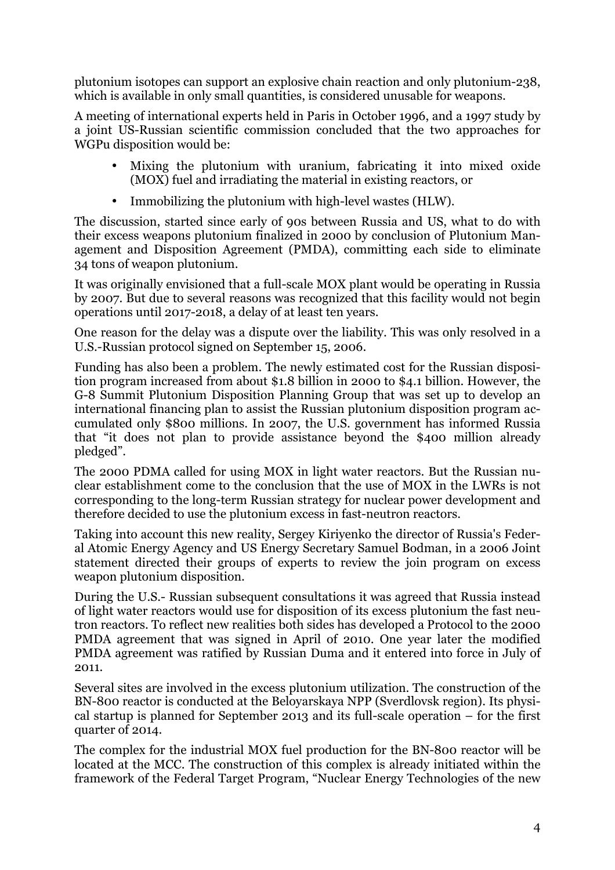plutonium isotopes can support an explosive chain reaction and only plutonium-238, which is available in only small quantities, is considered unusable for weapons.

A meeting of international experts held in Paris in October 1996, and a 1997 study by a joint US-Russian scientific commission concluded that the two approaches for WGPu disposition would be:

- Mixing the plutonium with uranium, fabricating it into mixed oxide (MOX) fuel and irradiating the material in existing reactors, or
- Immobilizing the plutonium with high-level wastes (HLW).

The discussion, started since early of 90s between Russia and US, what to do with their excess weapons plutonium finalized in 2000 by conclusion of Plutonium Management and Disposition Agreement (PMDA), committing each side to eliminate 34 tons of weapon plutonium.

It was originally envisioned that a full-scale MOX plant would be operating in Russia by 2007. But due to several reasons was recognized that this facility would not begin operations until 2017-2018, a delay of at least ten years.

One reason for the delay was a dispute over the liability. This was only resolved in a U.S.-Russian protocol signed on September 15, 2006.

Funding has also been a problem. The newly estimated cost for the Russian disposition program increased from about \$1.8 billion in 2000 to \$4.1 billion. However, the G-8 Summit Plutonium Disposition Planning Group that was set up to develop an international financing plan to assist the Russian plutonium disposition program accumulated only \$800 millions. In 2007, the U.S. government has informed Russia that "it does not plan to provide assistance beyond the \$400 million already pledged".

The 2000 PDMA called for using MOX in light water reactors. But the Russian nuclear establishment come to the conclusion that the use of MOX in the LWRs is not corresponding to the long-term Russian strategy for nuclear power development and therefore decided to use the plutonium excess in fast-neutron reactors.

Taking into account this new reality, Sergey Kiriyenko the director of Russia's Federal Atomic Energy Agency and US Energy Secretary Samuel Bodman, in a 2006 Joint statement directed their groups of experts to review the join program on excess weapon plutonium disposition.

During the U.S.- Russian subsequent consultations it was agreed that Russia instead of light water reactors would use for disposition of its excess plutonium the fast neutron reactors. To reflect new realities both sides has developed a Protocol to the 2000 PMDA agreement that was signed in April of 2010. One year later the modified PMDA agreement was ratified by Russian Duma and it entered into force in July of 2011.

Several sites are involved in the excess plutonium utilization. The construction of the BN-800 reactor is conducted at the Beloyarskaya NPP (Sverdlovsk region). Its physical startup is planned for September 2013 and its full-scale operation – for the first quarter of 2014.

The complex for the industrial MOX fuel production for the BN-800 reactor will be located at the MCC. The construction of this complex is already initiated within the framework of the Federal Target Program, "Nuclear Energy Technologies of the new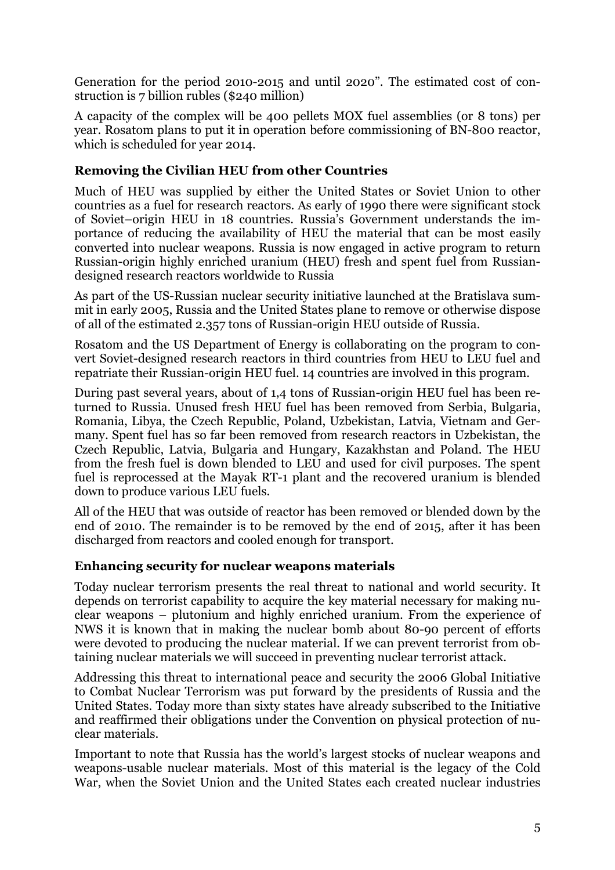Generation for the period 2010-2015 and until 2020". The estimated cost of construction is 7 billion rubles (\$240 million)

A capacity of the complex will be 400 pellets MOX fuel assemblies (or 8 tons) per year. Rosatom plans to put it in operation before commissioning of BN-800 reactor, which is scheduled for year 2014.

## **Removing the Civilian HEU from other Countries**

Much of HEU was supplied by either the United States or Soviet Union to other countries as a fuel for research reactors. As early of 1990 there were significant stock of Soviet–origin HEU in 18 countries. Russia's Government understands the importance of reducing the availability of HEU the material that can be most easily converted into nuclear weapons. Russia is now engaged in active program to return Russian-origin highly enriched uranium (HEU) fresh and spent fuel from Russiandesigned research reactors worldwide to Russia

As part of the US-Russian nuclear security initiative launched at the Bratislava summit in early 2005, Russia and the United States plane to remove or otherwise dispose of all of the estimated 2.357 tons of Russian-origin HEU outside of Russia.

Rosatom and the US Department of Energy is collaborating on the program to convert Soviet-designed research reactors in third countries from HEU to LEU fuel and repatriate their Russian-origin HEU fuel. 14 countries are involved in this program.

During past several years, about of 1,4 tons of Russian-origin HEU fuel has been returned to Russia. Unused fresh HEU fuel has been removed from Serbia, Bulgaria, Romania, Libya, the Czech Republic, Poland, Uzbekistan, Latvia, Vietnam and Germany. Spent fuel has so far been removed from research reactors in Uzbekistan, the Czech Republic, Latvia, Bulgaria and Hungary, Kazakhstan and Poland. The HEU from the fresh fuel is down blended to LEU and used for civil purposes. The spent fuel is reprocessed at the Mayak RT-1 plant and the recovered uranium is blended down to produce various LEU fuels.

All of the HEU that was outside of reactor has been removed or blended down by the end of 2010. The remainder is to be removed by the end of 2015, after it has been discharged from reactors and cooled enough for transport.

### **Enhancing security for nuclear weapons materials**

Today nuclear terrorism presents the real threat to national and world security. It depends on terrorist capability to acquire the key material necessary for making nuclear weapons – plutonium and highly enriched uranium. From the experience of NWS it is known that in making the nuclear bomb about 80-90 percent of efforts were devoted to producing the nuclear material. If we can prevent terrorist from obtaining nuclear materials we will succeed in preventing nuclear terrorist attack.

Addressing this threat to international peace and security the 2006 Global Initiative to Combat Nuclear Terrorism was put forward by the presidents of Russia and the United States. Today more than sixty states have already subscribed to the Initiative and reaffirmed their obligations under the Convention on physical protection of nuclear materials.

Important to note that Russia has the world's largest stocks of nuclear weapons and weapons-usable nuclear materials. Most of this material is the legacy of the Cold War, when the Soviet Union and the United States each created nuclear industries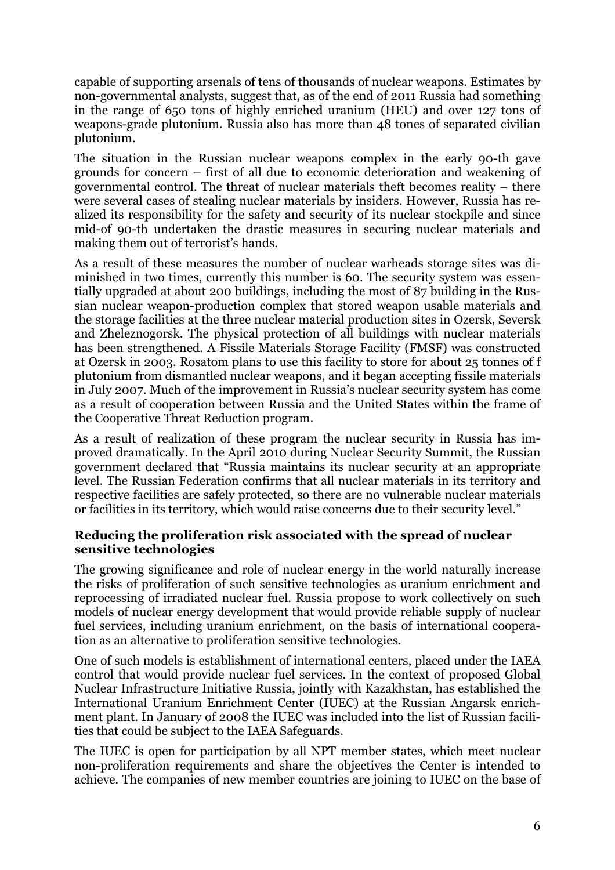capable of supporting arsenals of tens of thousands of nuclear weapons. Estimates by non-governmental analysts, suggest that, as of the end of 2011 Russia had something in the range of 650 tons of highly enriched uranium (HEU) and over 127 tons of weapons-grade plutonium. Russia also has more than 48 tones of separated civilian plutonium.

The situation in the Russian nuclear weapons complex in the early 90-th gave grounds for concern – first of all due to economic deterioration and weakening of governmental control. The threat of nuclear materials theft becomes reality – there were several cases of stealing nuclear materials by insiders. However, Russia has realized its responsibility for the safety and security of its nuclear stockpile and since mid-of 90-th undertaken the drastic measures in securing nuclear materials and making them out of terrorist's hands.

As a result of these measures the number of nuclear warheads storage sites was diminished in two times, currently this number is 60. The security system was essentially upgraded at about 200 buildings, including the most of 87 building in the Russian nuclear weapon-production complex that stored weapon usable materials and the storage facilities at the three nuclear material production sites in Ozersk, Seversk and Zheleznogorsk. The physical protection of all buildings with nuclear materials has been strengthened. A Fissile Materials Storage Facility (FMSF) was constructed at Ozersk in 2003. Rosatom plans to use this facility to store for about 25 tonnes of f plutonium from dismantled nuclear weapons, and it began accepting fissile materials in July 2007. Much of the improvement in Russia's nuclear security system has come as a result of cooperation between Russia and the United States within the frame of the Cooperative Threat Reduction program.

As a result of realization of these program the nuclear security in Russia has improved dramatically. In the April 2010 during Nuclear Security Summit, the Russian government declared that "Russia maintains its nuclear security at an appropriate level. The Russian Federation confirms that all nuclear materials in its territory and respective facilities are safely protected, so there are no vulnerable nuclear materials or facilities in its territory, which would raise concerns due to their security level."

#### **Reducing the proliferation risk associated with the spread of nuclear sensitive technologies**

The growing significance and role of nuclear energy in the world naturally increase the risks of proliferation of such sensitive technologies as uranium enrichment and reprocessing of irradiated nuclear fuel. Russia propose to work collectively on such models of nuclear energy development that would provide reliable supply of nuclear fuel services, including uranium enrichment, on the basis of international cooperation as an alternative to proliferation sensitive technologies.

One of such models is establishment of international centers, placed under the IAEA control that would provide nuclear fuel services. In the context of proposed Global Nuclear Infrastructure Initiative Russia, jointly with Kazakhstan, has established the International Uranium Enrichment Center (IUEC) at the Russian Angarsk enrichment plant. In January of 2008 the IUEC was included into the list of Russian facilities that could be subject to the IAEA Safeguards.

The IUEC is open for participation by all NPT member states, which meet nuclear non-proliferation requirements and share the objectives the Center is intended to achieve*.* The companies of new member countries are joining to IUEC on the base of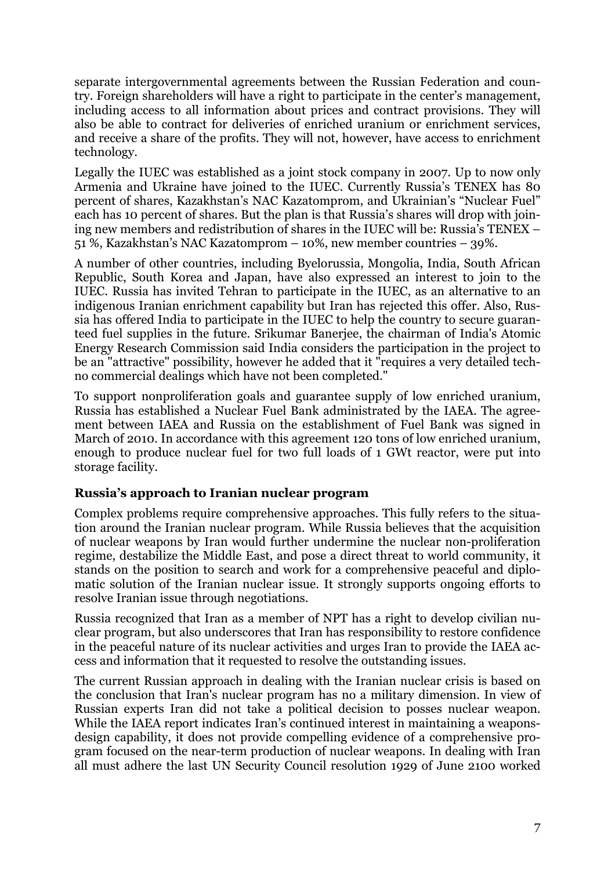separate intergovernmental agreements between the Russian Federation and country. Foreign shareholders will have a right to participate in the center's management, including access to all information about prices and contract provisions. They will also be able to contract for deliveries of enriched uranium or enrichment services, and receive a share of the profits. They will not, however, have access to enrichment technology.

Legally the IUEC was established as a joint stock company in 2007. Up to now only Armenia and Ukraine have joined to the IUEC. Currently Russia's TENEX has 80 percent of shares, Kazakhstan's NAC Kazatomprom, and Ukrainian's "Nuclear Fuel" each has 10 percent of shares. But the plan is that Russia's shares will drop with joining new members and redistribution of shares in the IUEC will be: Russia's TENEX – 51 %, Kazakhstan's NAC Kazatomprom – 10%, new member countries – 39%.

A number of other countries, including Byelorussia, Mongolia, India, South African Republic, South Korea and Japan, have also expressed an interest to join to the IUEC. Russia has invited Tehran to participate in the IUEC, as an alternative to an indigenous Iranian enrichment capability but Iran has rejected this offer. Also, Russia has offered India to participate in the IUEC to help the country to secure guaranteed fuel supplies in the future. Srikumar Banerjee, the chairman of India's Atomic Energy Research Commission said India considers the participation in the project to be an "attractive" possibility, however he added that it "requires a very detailed techno commercial dealings which have not been completed."

To support nonproliferation goals and guarantee supply of low enriched uranium, Russia has established a Nuclear Fuel Bank administrated by the IAEA. The agreement between IAEA and Russia on the establishment of Fuel Bank was signed in March of 2010. In accordance with this agreement 120 tons of low enriched uranium, enough to produce nuclear fuel for two full loads of 1 GWt reactor, were put into storage facility.

### **Russia's approach to Iranian nuclear program**

Complex problems require comprehensive approaches. This fully refers to the situation around the Iranian nuclear program. While Russia believes that the acquisition of nuclear weapons by Iran would further undermine the nuclear non-proliferation regime, destabilize the Middle East, and pose a direct threat to world community, it stands on the position to search and work for a comprehensive peaceful and diplomatic solution of the Iranian nuclear issue. It strongly supports ongoing efforts to resolve Iranian issue through negotiations.

Russia recognized that Iran as a member of NPT has a right to develop civilian nuclear program, but also underscores that Iran has responsibility to restore confidence in the peaceful nature of its nuclear activities and urges Iran to provide the IAEA access and information that it requested to resolve the outstanding issues.

The current Russian approach in dealing with the Iranian nuclear crisis is based on the conclusion that Iran's nuclear program has no a military dimension. In view of Russian experts Iran did not take a political decision to posses nuclear weapon. While the IAEA report indicates Iran's continued interest in maintaining a weaponsdesign capability, it does not provide compelling evidence of a comprehensive program focused on the near-term production of nuclear weapons. In dealing with Iran all must adhere the last UN Security Council resolution 1929 of June 2100 worked